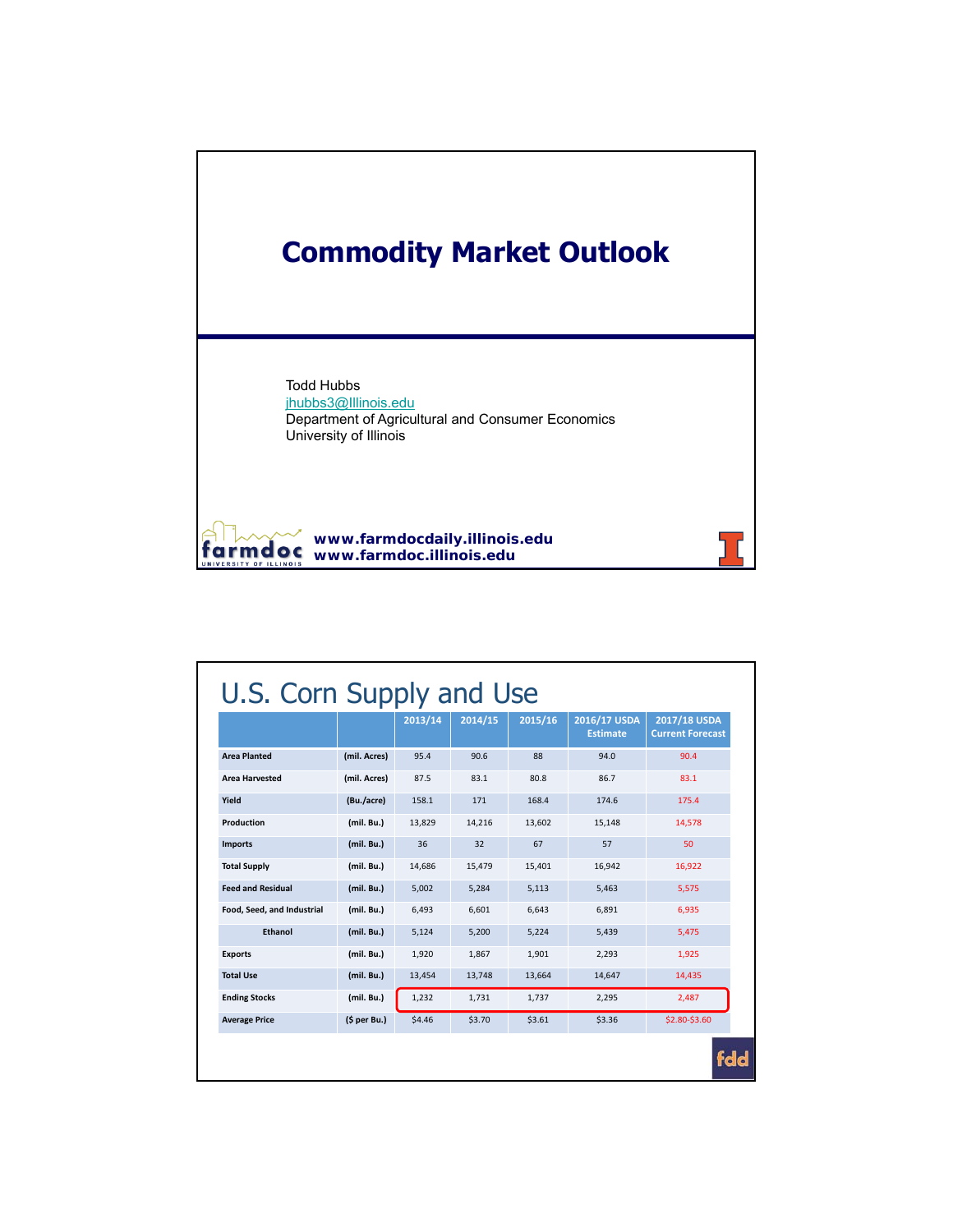

|                            |              | 2013/14 | 2014/15 | 2015/16 | 2016/17 USDA<br><b>Estimate</b> | 2017/18 USDA<br><b>Current Forecast</b> |
|----------------------------|--------------|---------|---------|---------|---------------------------------|-----------------------------------------|
| <b>Area Planted</b>        | (mil. Acres) | 95.4    | 90.6    | 88      | 94.0                            | 90.4                                    |
| <b>Area Harvested</b>      | (mil. Acres) | 87.5    | 83.1    | 80.8    | 86.7                            | 83.1                                    |
| Yield                      | (Bu./acre)   | 158.1   | 171     | 168.4   | 174.6                           | 175.4                                   |
| Production                 | (mil. Bu.)   | 13,829  | 14,216  | 13,602  | 15,148                          | 14,578                                  |
| <b>Imports</b>             | (mil. Bu.)   | 36      | 32      | 67      | 57                              | 50                                      |
| <b>Total Supply</b>        | (mil. Bu.)   | 14,686  | 15,479  | 15,401  | 16,942                          | 16,922                                  |
| <b>Feed and Residual</b>   | (mil. Bu.)   | 5,002   | 5,284   | 5,113   | 5,463                           | 5,575                                   |
| Food, Seed, and Industrial | (mil. Bu.)   | 6.493   | 6.601   | 6.643   | 6.891                           | 6.935                                   |
| Ethanol                    | (mil. Bu.)   | 5,124   | 5,200   | 5,224   | 5,439                           | 5,475                                   |
| <b>Exports</b>             | (mil. Bu.)   | 1,920   | 1,867   | 1,901   | 2,293                           | 1,925                                   |
| <b>Total Use</b>           | (mil. Bu.)   | 13,454  | 13,748  | 13,664  | 14,647                          | 14,435                                  |
| <b>Ending Stocks</b>       | (mil. Bu.)   | 1,232   | 1,731   | 1,737   | 2,295                           | 2,487                                   |
| <b>Average Price</b>       | (5 per Bu.)  | \$4.46  | \$3.70  | \$3.61  | \$3.36                          | \$2.80-\$3.60                           |

**tdd**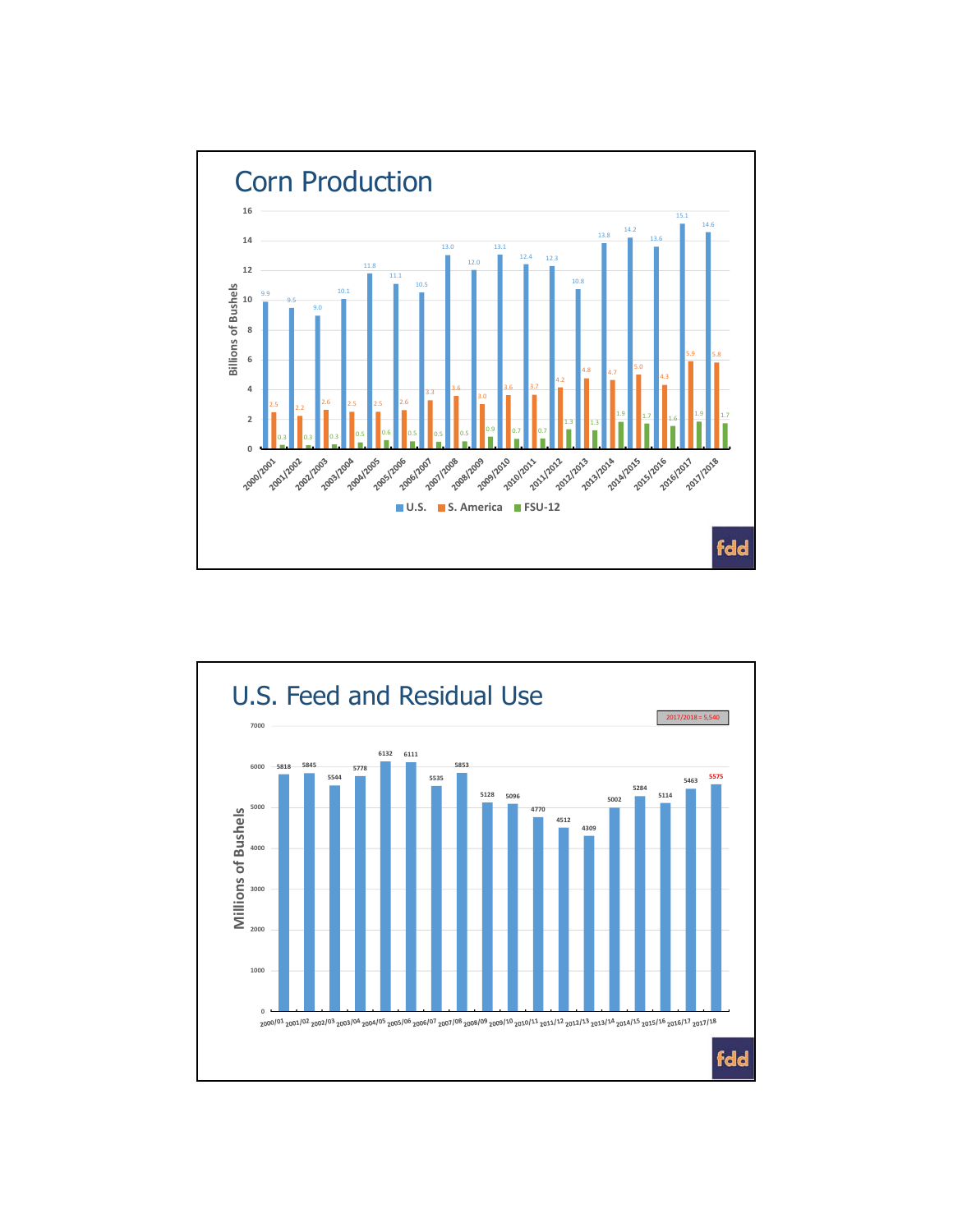

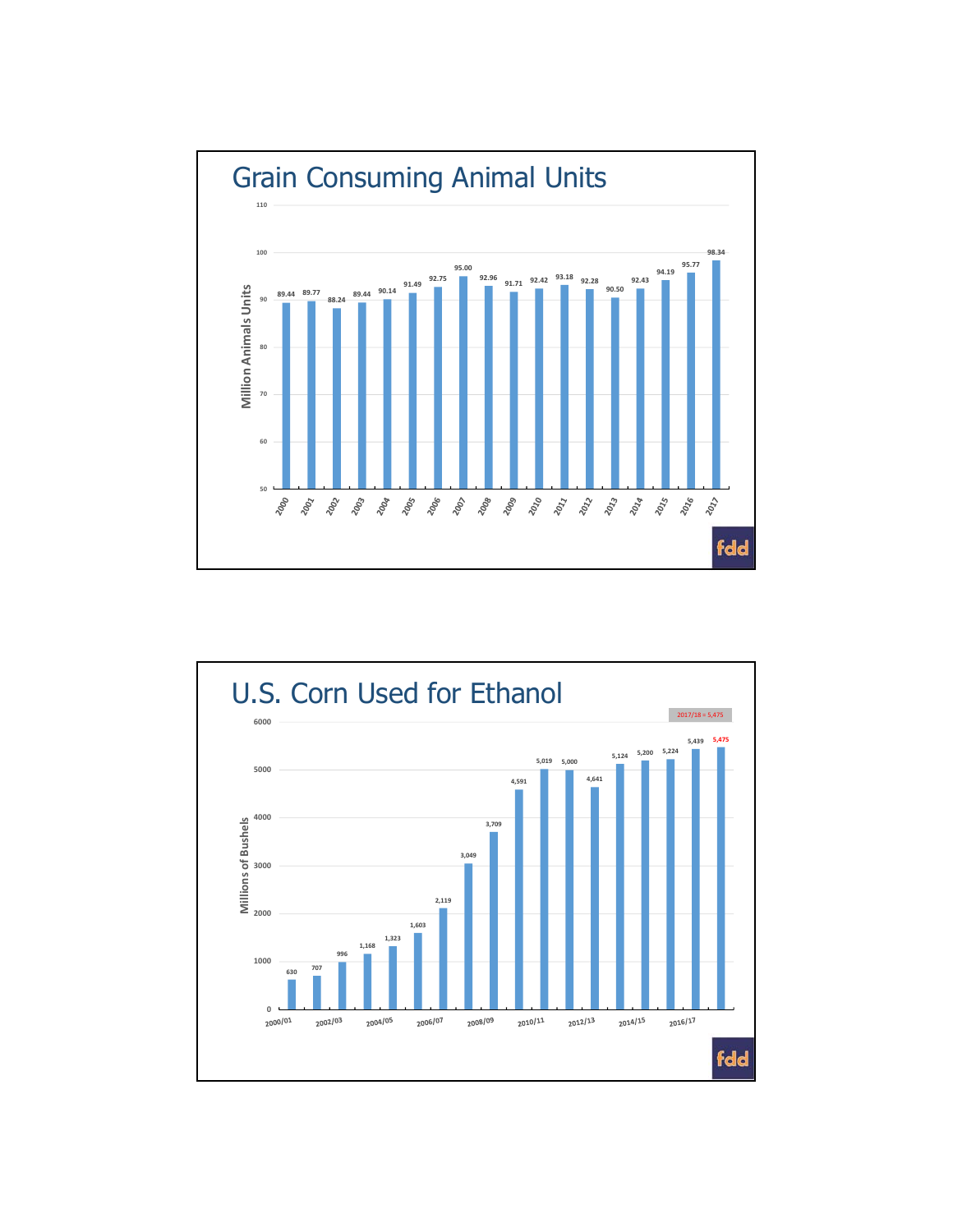

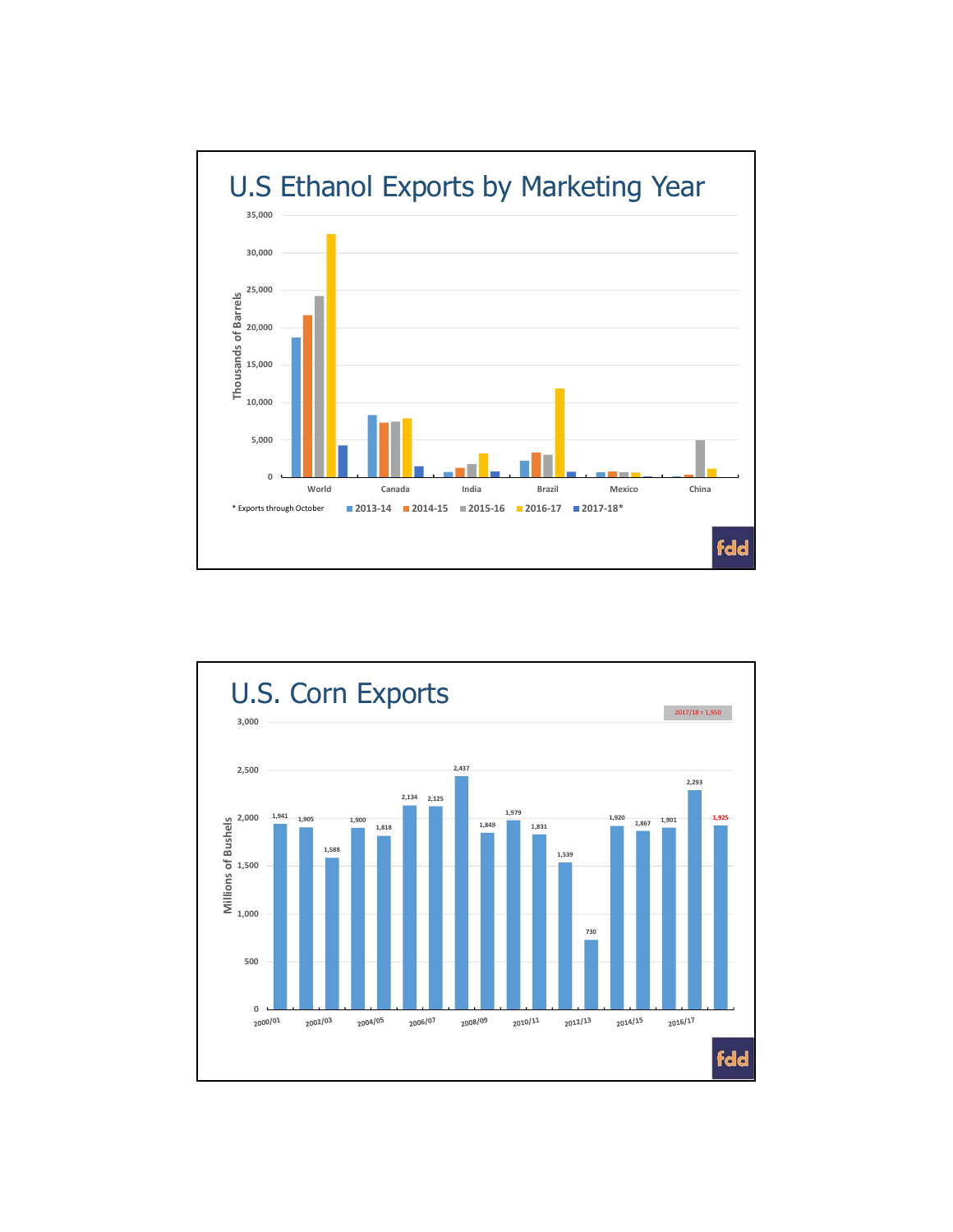

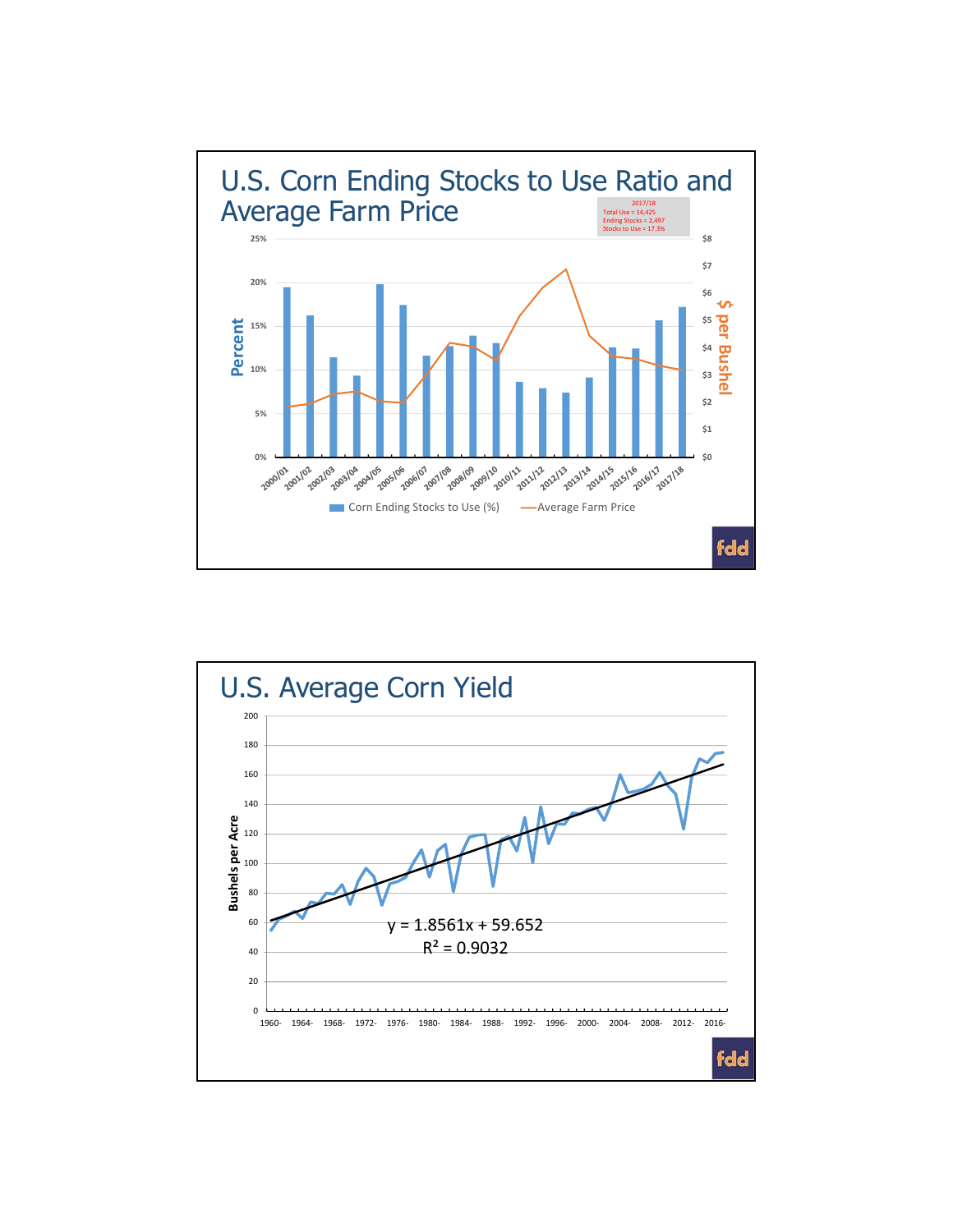

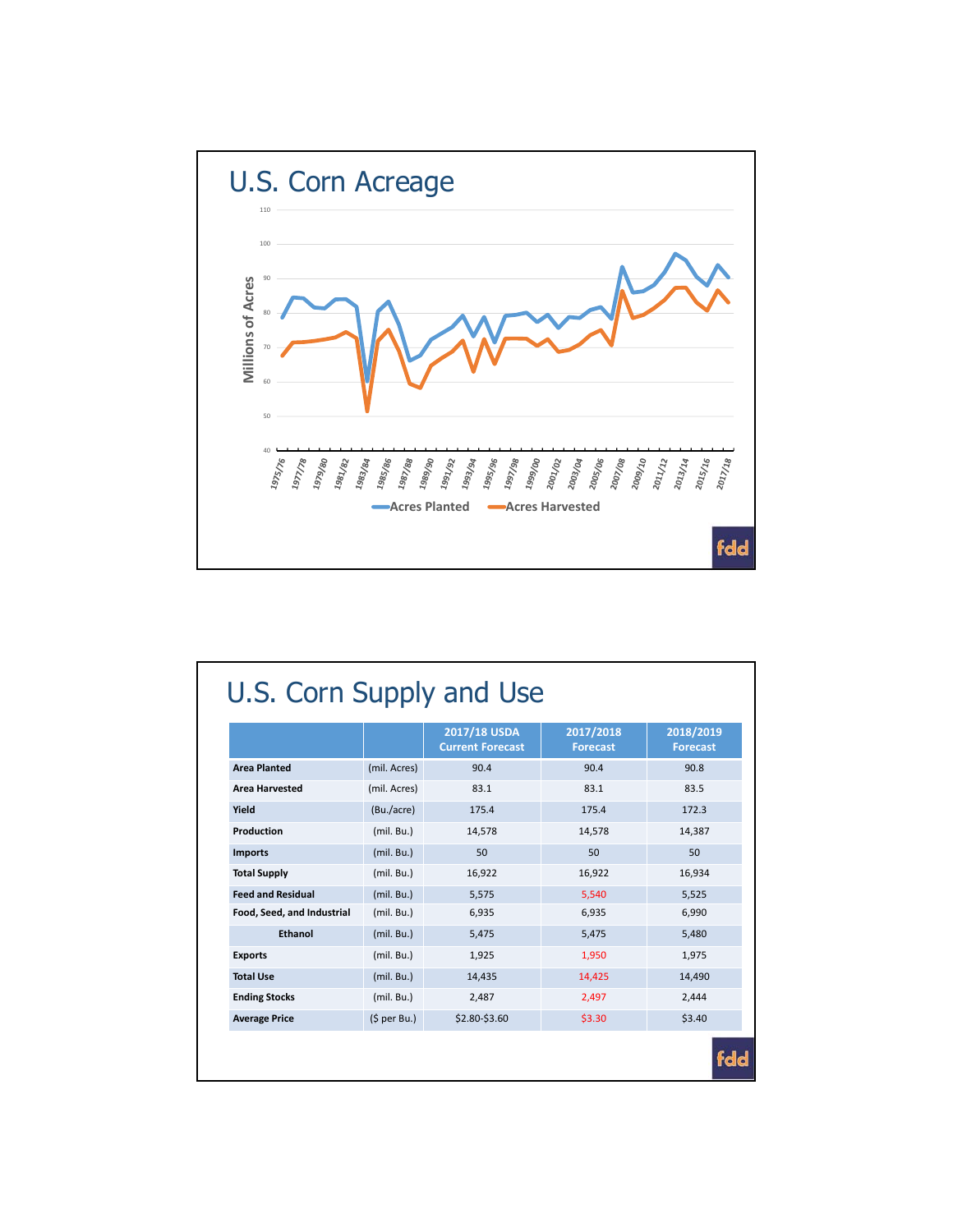

|                            |              | 2017/18 USDA<br><b>Current Forecast</b> | 2017/2018<br><b>Forecast</b> | 2018/2019<br><b>Forecast</b> |
|----------------------------|--------------|-----------------------------------------|------------------------------|------------------------------|
| <b>Area Planted</b>        | (mil. Acres) | 90.4                                    | 90.4                         | 90.8                         |
| <b>Area Harvested</b>      | (mil. Acres) | 83.1                                    | 83.1                         | 83.5                         |
| Yield                      | (Bu./acre)   | 175.4                                   | 175.4                        | 172.3                        |
| Production                 | (mil. Bu.)   | 14,578                                  | 14.578                       | 14,387                       |
| <b>Imports</b>             | (mil. Bu.)   | 50                                      | 50                           | 50                           |
| <b>Total Supply</b>        | (mil. Bu.)   | 16,922                                  | 16,922                       | 16,934                       |
| <b>Feed and Residual</b>   | (mil. Bu.)   | 5,575                                   | 5.540                        | 5,525                        |
| Food, Seed, and Industrial | (mil. Bu.)   | 6,935                                   | 6,935                        | 6,990                        |
| Ethanol                    | (mil. Bu.)   | 5,475                                   | 5,475                        | 5,480                        |
| <b>Exports</b>             | (mil. Bu.)   | 1,925                                   | 1,950                        | 1,975                        |
| <b>Total Use</b>           | (mil. Bu.)   | 14,435                                  | 14,425                       | 14,490                       |
| <b>Ending Stocks</b>       | (mil. Bu.)   | 2,487                                   | 2,497                        | 2,444                        |
| <b>Average Price</b>       | (5 per Bu.)  | \$2.80-\$3.60                           | \$3.30                       | \$3.40                       |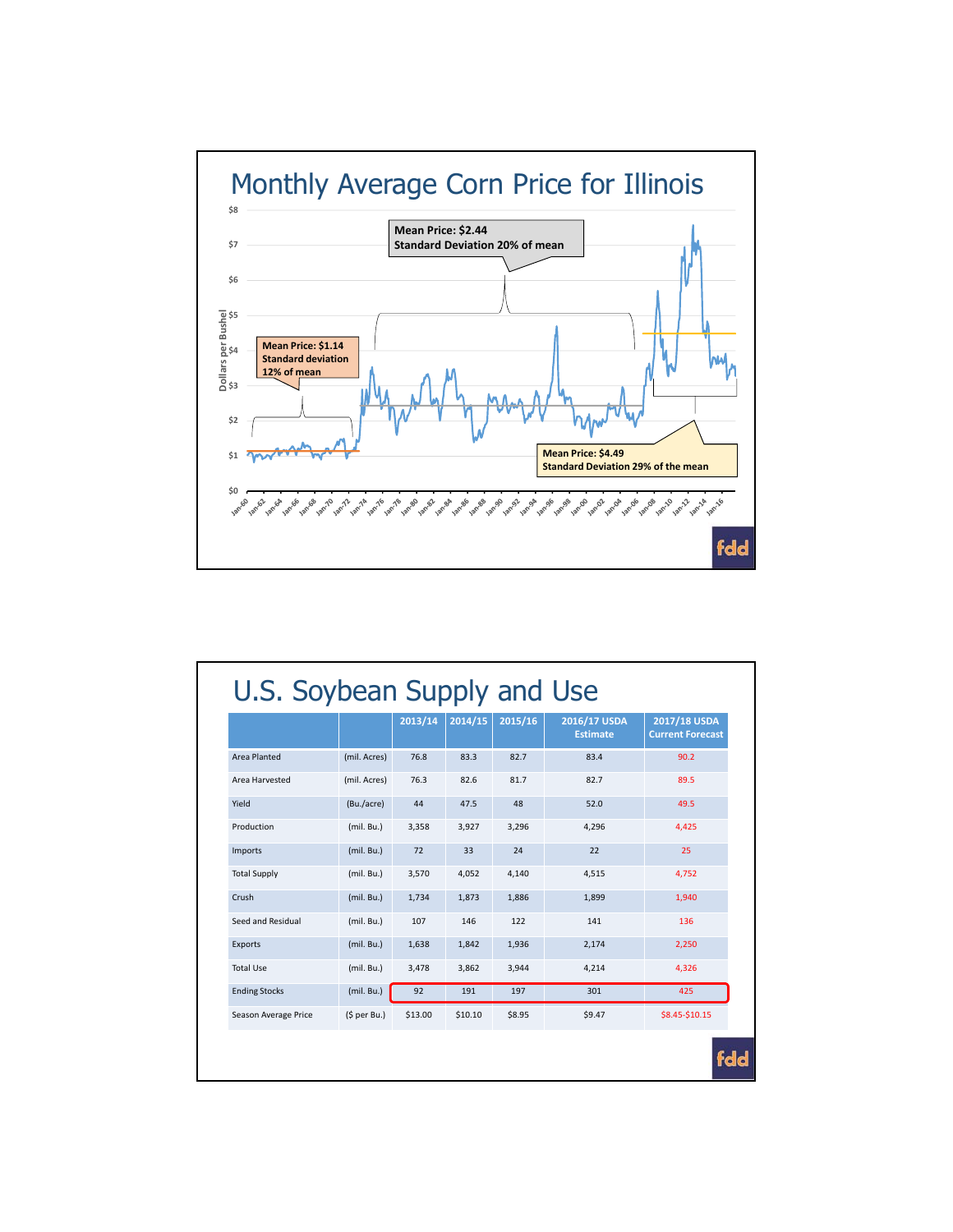

|                      |              | 2013/14 | 2014/15 | 2015/16 | 2016/17 USDA<br><b>Estimate</b> | 2017/18 USDA<br><b>Current Forecast</b> |
|----------------------|--------------|---------|---------|---------|---------------------------------|-----------------------------------------|
| Area Planted         | (mil. Acres) | 76.8    | 83.3    | 82.7    | 83.4                            | 90.2                                    |
| Area Harvested       | (mil. Acres) | 76.3    | 82.6    | 81.7    | 82.7                            | 89.5                                    |
| Yield                | (Bu./acre)   | 44      | 47.5    | 48      | 52.0                            | 49.5                                    |
| Production           | (mil. Bu.)   | 3,358   | 3.927   | 3.296   | 4.296                           | 4.425                                   |
| Imports              | (mil. Bu.)   | 72      | 33      | 24      | 22                              | 25                                      |
| <b>Total Supply</b>  | (mil. Bu.)   | 3,570   | 4.052   | 4,140   | 4.515                           | 4,752                                   |
| Crush                | (mil. Bu.)   | 1,734   | 1,873   | 1,886   | 1,899                           | 1,940                                   |
| Seed and Residual    | (mil. Bu.)   | 107     | 146     | 122     | 141                             | 136                                     |
| Exports              | (mil. Bu.)   | 1,638   | 1,842   | 1,936   | 2,174                           | 2,250                                   |
| <b>Total Use</b>     | (mil. Bu.)   | 3,478   | 3.862   | 3.944   | 4.214                           | 4.326                                   |
| <b>Ending Stocks</b> | (mil. Bu.)   | 92      | 191     | 197     | 301                             | 425                                     |
| Season Average Price | (S per Bu.)  | \$13.00 | \$10.10 | \$8.95  | \$9.47                          | \$8.45-\$10.15                          |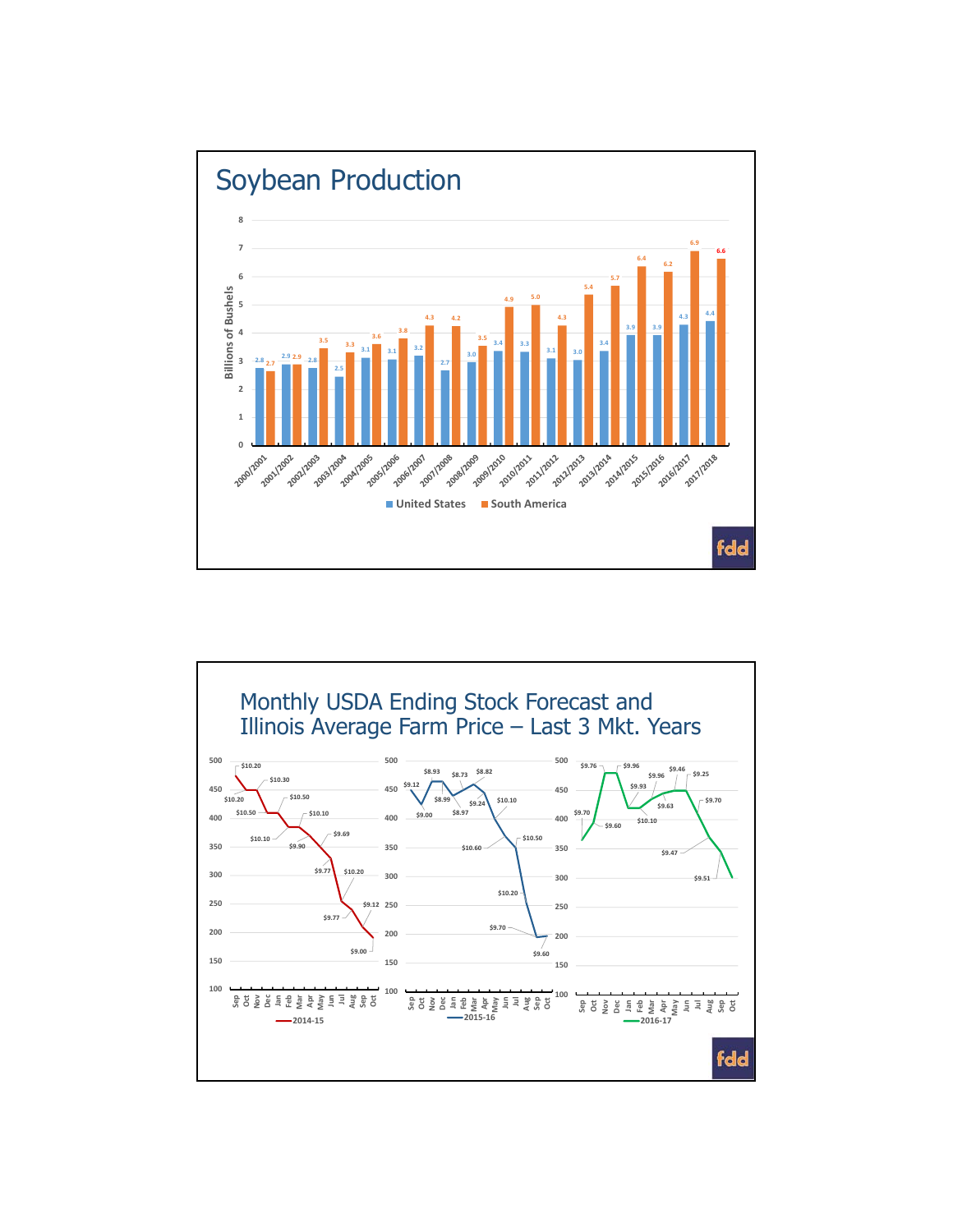

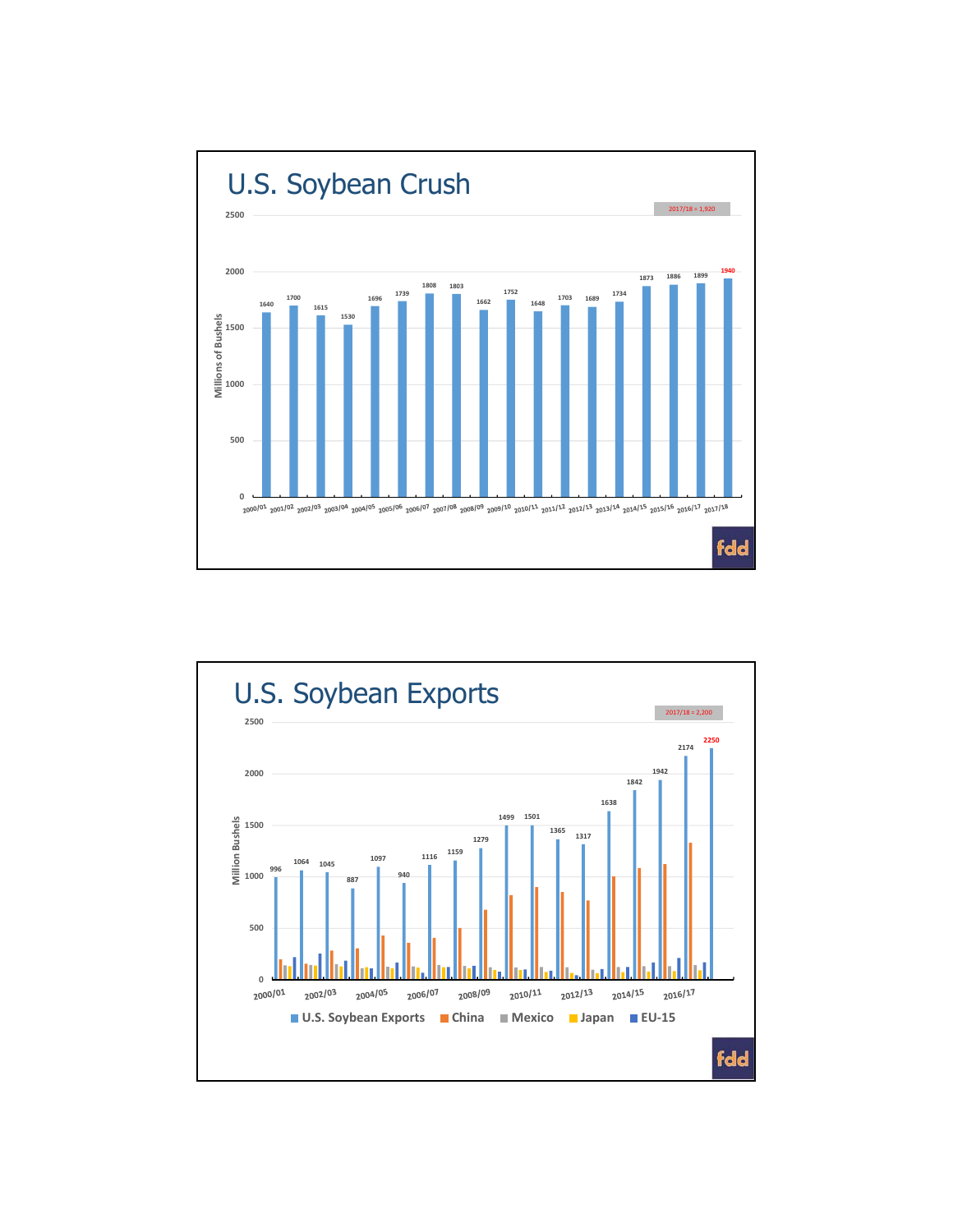

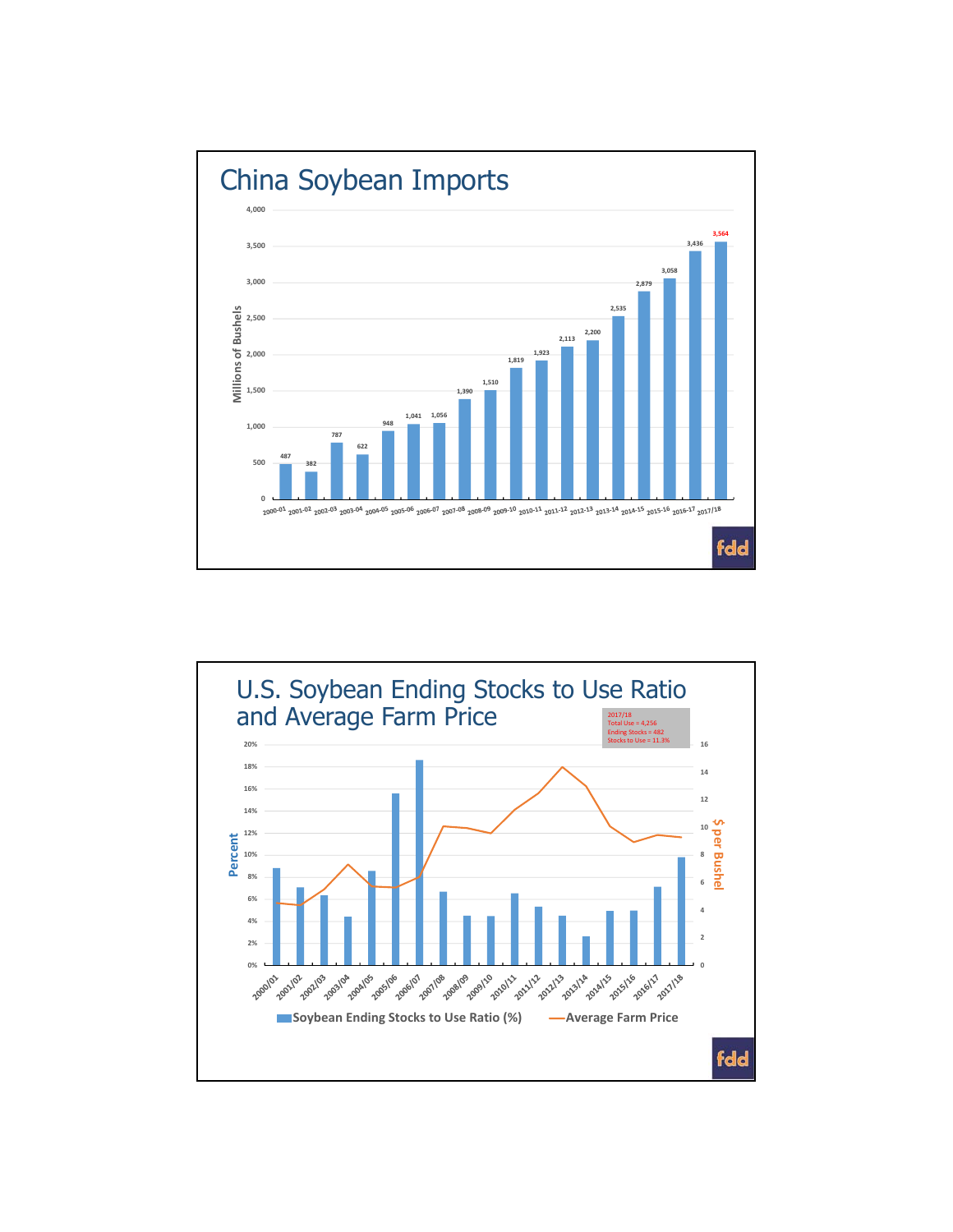

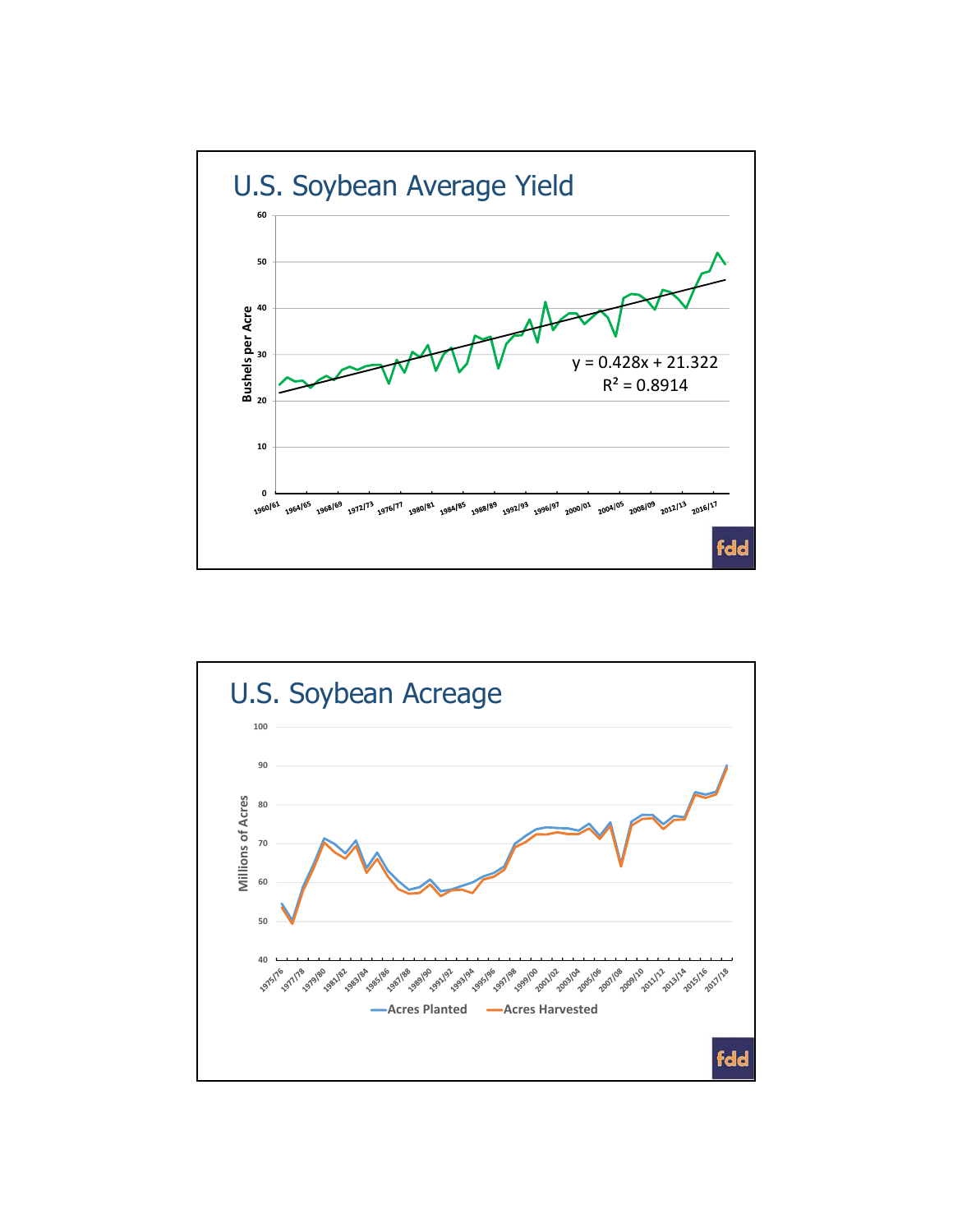

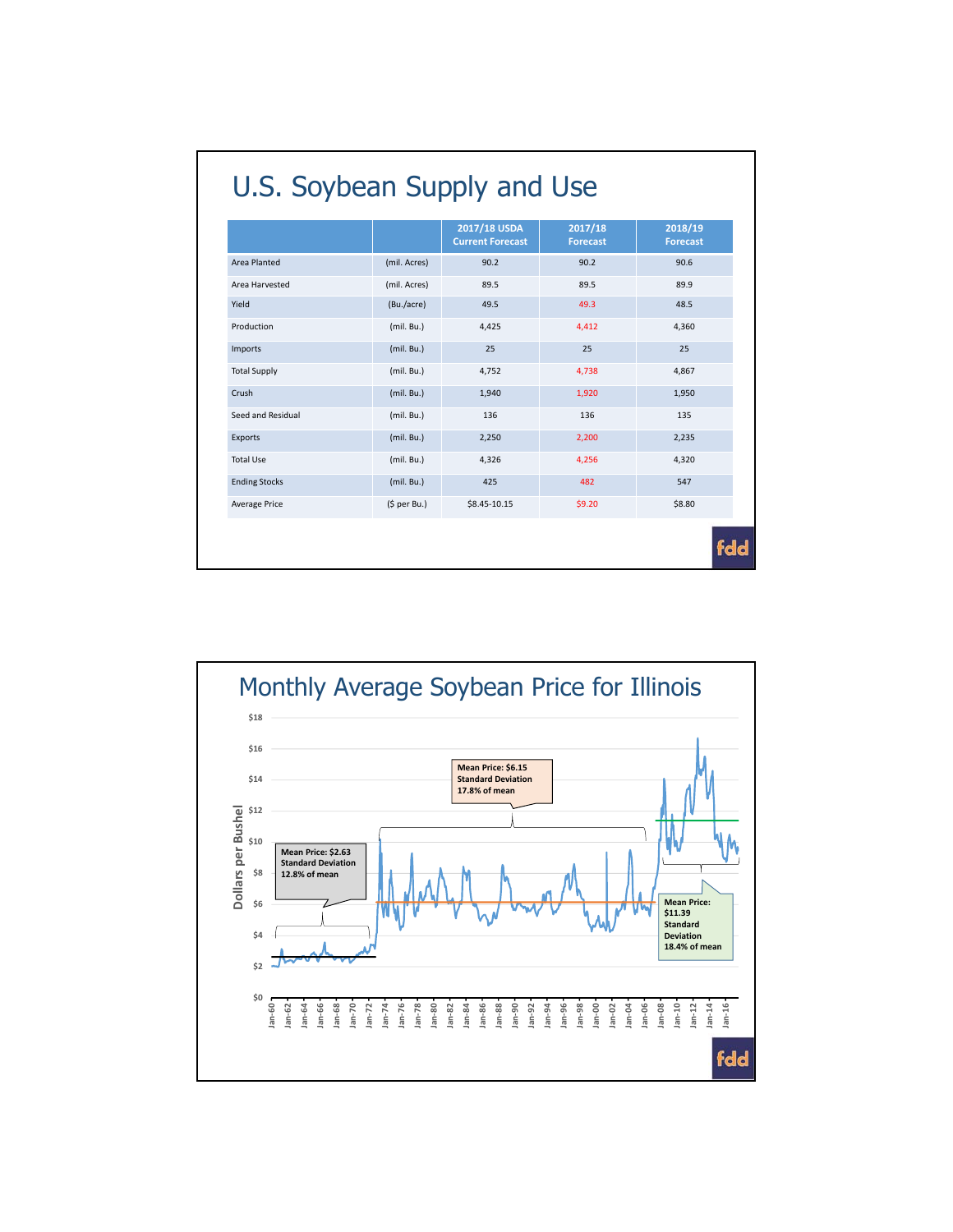|                      |              | 2017/18 USDA<br><b>Current Forecast</b> | 2017/18<br><b>Forecast</b> | 2018/19<br><b>Forecast</b> |
|----------------------|--------------|-----------------------------------------|----------------------------|----------------------------|
| Area Planted         | (mil. Acres) | 90.2                                    | 90.2                       | 90.6                       |
| Area Harvested       | (mil. Acres) | 89.5                                    | 89.5                       | 89.9                       |
| Yield                | (Bu./acre)   | 49.5                                    | 49.3                       | 48.5                       |
| Production           | (mil. Bu.)   | 4,425                                   | 4,412                      | 4,360                      |
| Imports              | (mil. Bu.)   | 25                                      | 25                         | 25                         |
| <b>Total Supply</b>  | (mil. Bu.)   | 4,752                                   | 4,738                      | 4,867                      |
| Crush                | (mil. Bu.)   | 1,940                                   | 1,920                      | 1,950                      |
| Seed and Residual    | (mil. Bu.)   | 136                                     | 136                        | 135                        |
| Exports              | (mil. Bu.)   | 2,250                                   | 2,200                      | 2,235                      |
| <b>Total Use</b>     | (mil. Bu.)   | 4,326                                   | 4,256                      | 4,320                      |
| <b>Ending Stocks</b> | (mil. Bu.)   | 425                                     | 482                        | 547                        |
| Average Price        | (5 per Bu.)  | \$8.45-10.15                            | \$9.20                     | \$8.80                     |